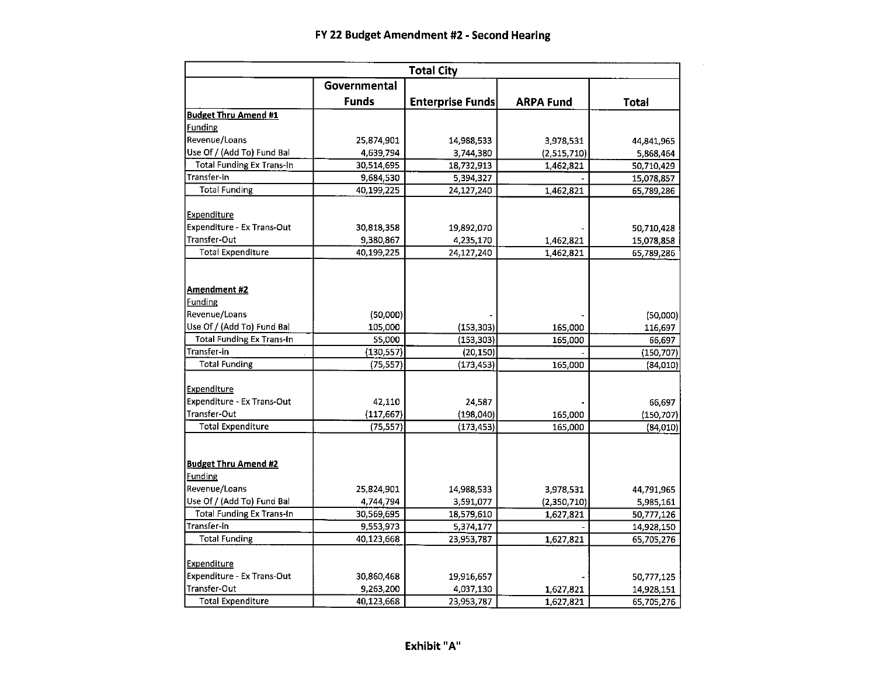| <b>Total City</b>                      |              |                         |                  |                          |  |  |  |  |  |  |
|----------------------------------------|--------------|-------------------------|------------------|--------------------------|--|--|--|--|--|--|
|                                        | Governmental |                         |                  |                          |  |  |  |  |  |  |
|                                        | <b>Funds</b> | <b>Enterprise Funds</b> | <b>ARPA Fund</b> | <b>Total</b>             |  |  |  |  |  |  |
| <b>Budget Thru Amend #1</b>            |              |                         |                  |                          |  |  |  |  |  |  |
| Funding                                |              |                         |                  |                          |  |  |  |  |  |  |
| Revenue/Loans                          | 25,874,901   | 14,988,533              | 3,978,531        | 44,841,965               |  |  |  |  |  |  |
| Use Of / (Add To) Fund Bal             | 4,639,794    | 3,744,380               | (2,515,710)      | 5,868,464                |  |  |  |  |  |  |
| <b>Total Funding Ex Trans-In</b>       | 30,514,695   | 18,732,913              | 1,462,821        | 50,710,429               |  |  |  |  |  |  |
| Transfer-in                            | 9,684,530    | 5,394,327               |                  | 15,078,857               |  |  |  |  |  |  |
| <b>Total Funding</b>                   | 40,199,225   | 24,127,240              | 1,462,821        | 65,789,286               |  |  |  |  |  |  |
| Expenditure                            |              |                         |                  |                          |  |  |  |  |  |  |
| <b>Expenditure - Ex Trans-Out</b>      | 30,818,358   | 19,892,070              |                  | 50,710,428               |  |  |  |  |  |  |
| Transfer-Out                           | 9,380,867    | 4,235,170               | 1,462,821        | 15,078,858               |  |  |  |  |  |  |
| <b>Total Expenditure</b>               | 40,199,225   | 24,127,240              | 1,462,821        | 65,789,286               |  |  |  |  |  |  |
| Amendment #2                           |              |                         |                  |                          |  |  |  |  |  |  |
| Funding                                |              |                         |                  |                          |  |  |  |  |  |  |
| Revenue/Loans                          | (50,000)     |                         |                  | (50,000)                 |  |  |  |  |  |  |
| Use Of / (Add To) Fund Bal             | 105,000      | (153, 303)              | 165,000          | 116,697                  |  |  |  |  |  |  |
| <b>Total Funding Ex Trans-In</b>       | 55,000       | (153, 303)              | 165,000          | 66,697                   |  |  |  |  |  |  |
| Transfer-in                            | (130, 557)   | (20, 150)               |                  | (150, 707)               |  |  |  |  |  |  |
| <b>Total Funding</b>                   | (75, 557)    | (173, 453)              | 165,000          | (84,010)                 |  |  |  |  |  |  |
| Expenditure                            |              |                         |                  |                          |  |  |  |  |  |  |
| Expenditure - Ex Trans-Out             | 42,110       | 24,587                  |                  | 66,697                   |  |  |  |  |  |  |
| Transfer-Out                           | (117, 667)   | (198, 040)              | 165,000          | (150, 707)               |  |  |  |  |  |  |
| <b>Total Expenditure</b>               | (75.557)     | (173, 453)              | 165,000          | (84,010)                 |  |  |  |  |  |  |
| <b>Budget Thru Amend #2</b><br>Funding |              |                         |                  |                          |  |  |  |  |  |  |
| Revenue/Loans                          | 25,824,901   | 14,988,533              | 3,978,531        | 44,791,965               |  |  |  |  |  |  |
| Use Of / (Add To) Fund Bal             | 4,744,794    | 3,591,077               | (2,350,710)      |                          |  |  |  |  |  |  |
| <b>Total Funding Ex Trans-In</b>       | 30,569,695   | 18,579,610              | 1,627,821        | 5,985,161                |  |  |  |  |  |  |
| Transfer-in                            | 9,553,973    |                         |                  | 50,777,126               |  |  |  |  |  |  |
| <b>Total Funding</b>                   | 40,123,668   | 5,374,177<br>23,953,787 | 1,627,821        | 14,928,150<br>65,705,276 |  |  |  |  |  |  |
|                                        |              |                         |                  |                          |  |  |  |  |  |  |
| Expenditure                            |              |                         |                  |                          |  |  |  |  |  |  |
| Expenditure - Ex Trans-Out             | 30,860,468   | 19,916,657              |                  | 50,777,125               |  |  |  |  |  |  |
| Transfer-Out                           | 9,263,200    | 4,037,130               | 1,627,821        | 14,928,151               |  |  |  |  |  |  |
| <b>Total Expenditure</b>               | 40,123,668   | 23,953,787              | 1,627,821        | 65,705,276               |  |  |  |  |  |  |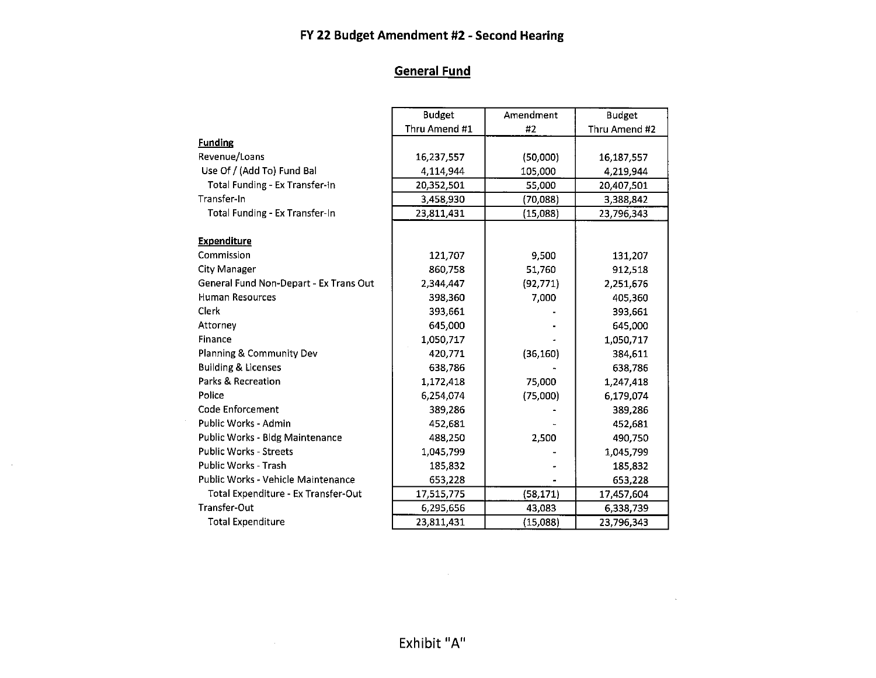# **General Fund**

|                                        | <b>Budget</b> | Amendment | <b>Budget</b> |
|----------------------------------------|---------------|-----------|---------------|
|                                        | Thru Amend #1 | #2        | Thru Amend #2 |
| <b>Funding</b>                         |               |           |               |
| Revenue/Loans                          | 16,237,557    | (50,000)  | 16,187,557    |
| Use Of / (Add To) Fund Bal             | 4,114,944     | 105,000   | 4,219,944     |
| Total Funding - Ex Transfer-In         | 20,352,501    | 55,000    | 20,407,501    |
| Transfer-In                            | 3,458,930     | (70,088)  | 3,388,842     |
| Total Funding - Ex Transfer-In         | 23,811,431    | (15,088)  | 23,796,343    |
| <b>Expenditure</b>                     |               |           |               |
| Commission                             | 121,707       | 9,500     | 131,207       |
| <b>City Manager</b>                    | 860,758       | 51,760    | 912,518       |
| General Fund Non-Depart - Ex Trans Out | 2,344,447     | (92, 771) | 2,251,676     |
| <b>Human Resources</b>                 | 398,360       | 7,000     | 405,360       |
| Clerk                                  | 393,661       |           | 393,661       |
| Attorney                               | 645,000       |           | 645,000       |
| Finance                                | 1,050,717     |           | 1,050,717     |
| Planning & Community Dev               | 420,771       | (36, 160) | 384,611       |
| <b>Building &amp; Licenses</b>         | 638,786       |           | 638,786       |
| Parks & Recreation                     | 1,172,418     | 75,000    | 1,247,418     |
| Police                                 | 6,254,074     | (75,000)  | 6,179,074     |
| Code Enforcement                       | 389,286       |           | 389,286       |
| Public Works - Admin                   | 452,681       |           | 452,681       |
| Public Works - Bldg Maintenance        | 488,250       | 2,500     | 490,750       |
| <b>Public Works - Streets</b>          | 1,045,799     |           | 1,045,799     |
| Public Works - Trash                   | 185,832       |           | 185,832       |
| Public Works - Vehicle Maintenance     | 653,228       |           | 653,228       |
| Total Expenditure - Ex Transfer-Out    | 17,515,775    | (58, 171) | 17,457,604    |
| <b>Transfer-Out</b>                    | 6,295,656     | 43,083    | 6,338,739     |
| <b>Total Expenditure</b>               | 23,811,431    | (15,088)  | 23,796,343    |

 $\sim 10^7$ 

 $\sim 10^{10}$  km s  $^{-1}$ 

 $\sim$   $\sim$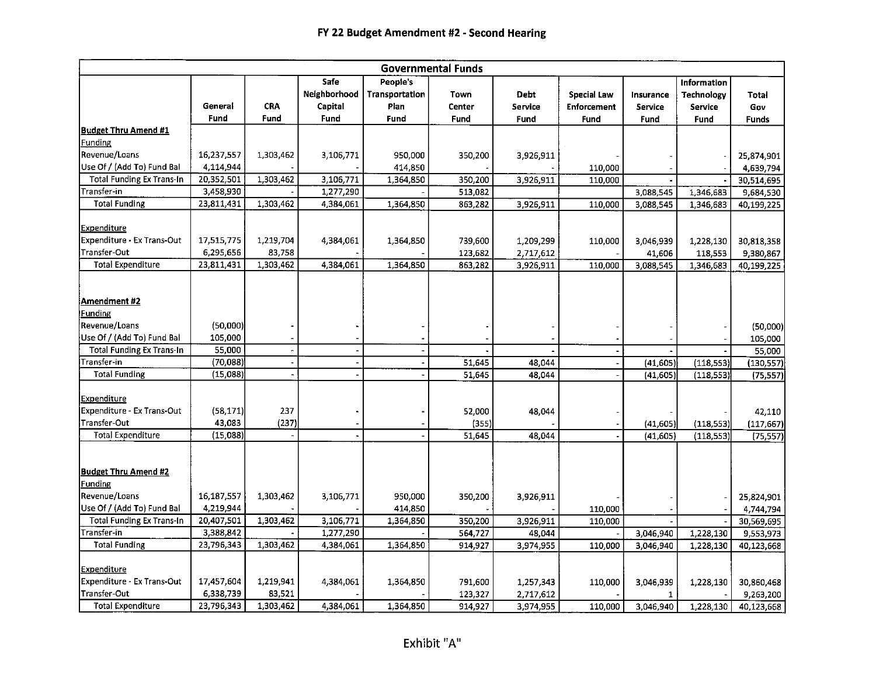|                                                                                                                                                                                                                                                    |                                                                                          |                                                            |                                         |                                            | <b>Governmental Funds</b>                     |                                      |                                                  |                                                  |                                                      |                                                                                               |
|----------------------------------------------------------------------------------------------------------------------------------------------------------------------------------------------------------------------------------------------------|------------------------------------------------------------------------------------------|------------------------------------------------------------|-----------------------------------------|--------------------------------------------|-----------------------------------------------|--------------------------------------|--------------------------------------------------|--------------------------------------------------|------------------------------------------------------|-----------------------------------------------------------------------------------------------|
|                                                                                                                                                                                                                                                    | General<br>Fund                                                                          | <b>CRA</b><br>Fund                                         | Safe<br>Neighborhood<br>Capital<br>Fund | People's<br>Transportation<br>Plan<br>Fund | Town<br>Center<br><b>Fund</b>                 | Debt<br>Service<br>Fund              | <b>Special Law</b><br><b>Enforcement</b><br>Fund | Insurance<br>Service<br>Fund                     | Information<br><b>Technology</b><br>Service<br>Fund  | Total<br>Gov<br><b>Funds</b>                                                                  |
| <b>Budget Thru Amend #1</b>                                                                                                                                                                                                                        |                                                                                          |                                                            |                                         |                                            |                                               |                                      |                                                  |                                                  |                                                      |                                                                                               |
| Funding                                                                                                                                                                                                                                            |                                                                                          |                                                            |                                         |                                            |                                               |                                      |                                                  |                                                  |                                                      |                                                                                               |
| Revenue/Loans                                                                                                                                                                                                                                      | 16,237,557                                                                               | 1,303,462                                                  | 3,106,771                               | 950,000                                    | 350,200                                       | 3,926,911                            |                                                  |                                                  |                                                      | 25,874,901                                                                                    |
| Use Of / (Add To) Fund Bal                                                                                                                                                                                                                         | 4,114,944                                                                                |                                                            |                                         | 414,850                                    |                                               |                                      | 110,000                                          |                                                  |                                                      | 4,639,794                                                                                     |
| <b>Total Funding Ex Trans-In</b>                                                                                                                                                                                                                   | 20,352,501                                                                               | 1,303,462                                                  | 3,106,771                               | 1,364,850                                  | 350,200                                       | 3,926,911                            | 110,000                                          |                                                  |                                                      | 30,514,695                                                                                    |
| Transfer-in                                                                                                                                                                                                                                        | 3,458,930                                                                                |                                                            | 1,277,290                               |                                            | 513,082                                       |                                      |                                                  | 3,088,545                                        | 1,346,683                                            | 9,684.530                                                                                     |
| <b>Total Funding</b>                                                                                                                                                                                                                               | 23,811,431                                                                               | 1,303,462                                                  | 4,384,061                               | 1,364,850                                  | 863,282                                       | 3,926,911                            | 110,000                                          | 3,088,545                                        | 1,346,683                                            | 40,199,225                                                                                    |
| <b>Expenditure</b><br><b>Expenditure - Ex Trans-Out</b><br>Transfer-Out                                                                                                                                                                            | 17,515,775<br>6,295,656                                                                  | 1,219,704<br>83,758                                        | 4,384,061                               | 1,364,850                                  | 739,600<br>123,682                            | 1,209,299<br>2,717,612               | 110,000                                          | 3,046,939<br>41,606                              | 1,228,130<br>118,553                                 | 30,818,358<br>9,380,867                                                                       |
| <b>Total Expenditure</b>                                                                                                                                                                                                                           | 23,811,431                                                                               | 1,303,462                                                  | 4,384,061                               | 1,364,850                                  | 863,282                                       | 3,926,911                            | 110,000                                          | 3,088,545                                        | 1,346,683                                            | 40,199,225                                                                                    |
| Amendment #2 <br>Funding<br>Revenue/Loans<br>Use Of / (Add To) Fund Bal<br><b>Total Funding Ex Trans-In</b><br>Transfer-in<br><b>Total Funding</b><br><b>Expenditure</b><br>Expenditure - Ex Trans-Out<br>Transfer-Out<br><b>Total Expenditure</b> | (50,000)<br>105,000<br>55,000<br>(70,088)<br>(15,088)<br>(58, 171)<br>43,083<br>(15,088) | $\blacksquare$<br>$\overline{\phantom{a}}$<br>237<br>(237) | $\overline{\phantom{a}}$                | $\blacksquare$<br>$\blacksquare$           | 51,645<br>51.645<br>52,000<br>(355)<br>51,645 | 48,044<br>48,044<br>48,044<br>48,044 | $\overline{\phantom{a}}$                         | (41, 605)<br>(41, 605)<br>(41, 605)<br>(41, 605) | (118, 553)<br>(118, 553)<br>(118, 553)<br>(118, 553) | (50,000)<br>105,000<br>55,000<br>(130, 557)<br>(75, 557)<br>42,110<br>(117, 667)<br>(75, 557) |
| <b>Budget Thru Amend #2</b><br>Funding<br>Revenue/Loans<br>Use Of / (Add To) Fund Bal                                                                                                                                                              | 16,187,557<br>4,219,944                                                                  | 1,303,462                                                  | 3,106,771                               | 950,000<br>414,850                         | 350,200                                       | 3,926,911                            | 110,000                                          |                                                  |                                                      | 25,824,901<br>4,744,794                                                                       |
| <b>Total Funding Ex Trans-In</b>                                                                                                                                                                                                                   | 20,407,501                                                                               | 1,303,462                                                  | 3,106,771                               | 1,364,850                                  | 350,200                                       | 3,926,911                            | 110,000                                          |                                                  |                                                      | 30,569,695                                                                                    |
| Transfer-in                                                                                                                                                                                                                                        | 3,388,842                                                                                |                                                            | 1,277,290                               |                                            | 564,727                                       | 48,044                               |                                                  | 3,046,940                                        | 1,228,130                                            | 9,553,973                                                                                     |
| <b>Total Funding</b>                                                                                                                                                                                                                               | 23,796,343                                                                               | 1,303,462                                                  | 4,384,061                               | 1,364,850                                  | 914,927                                       | 3,974,955                            | 110,000                                          | 3,046,940                                        | 1,228,130                                            | 40,123,668                                                                                    |
| <b>Expenditure</b><br>Expenditure - Ex Trans-Out<br>Transfer-Out<br><b>Total Expenditure</b>                                                                                                                                                       | 17,457,604<br>6,338,739<br>23,796,343                                                    | 1.219,941<br>83,521<br>1,303,462                           | 4,384,061<br>4,384,061                  | 1,364,850<br>1,364,850                     | 791,600<br>123,327                            | 1,257,343<br>2,717,612               | 110,000                                          | 3,046,939<br>1<br>3,046,940                      | 1,228,130                                            | 30,860,468<br>9,263,200                                                                       |
|                                                                                                                                                                                                                                                    |                                                                                          |                                                            |                                         |                                            | 914,927                                       | 3,974,955                            | 110,000                                          |                                                  | 1,228,130                                            | 40,123,668                                                                                    |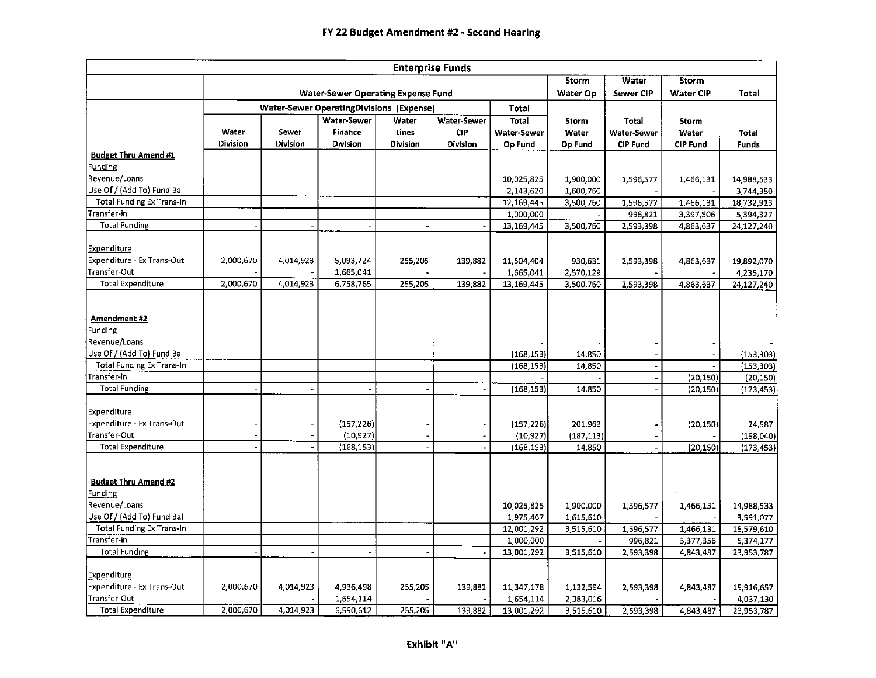| Storm<br>Water<br><b>Storm</b><br><b>Water-Sewer Operating Expense Fund</b><br>Water Op<br><b>Sewer CIP</b><br>Water CIP<br><b>Total</b><br><b>Water-Sewer OperatingDivisions (Expense)</b><br><b>Total</b><br>Water-Sewer<br><b>Water-Sewer</b><br>Water<br><b>Total</b><br><b>Storm</b><br><b>Total</b><br>Storm<br>Water<br>Sewer<br><b>Finance</b><br><b>CIP</b><br>Lines<br>Water-Sewer<br>Water<br>Water-Sewer<br>Water<br>Total<br><b>Division</b><br>Division<br><b>Division</b><br>Division<br>Division<br>Op Fund<br>Op Fund<br><b>CIP Fund</b><br><b>CIP Fund</b><br><b>Funds</b><br><b>Budget Thru Amend #1</b><br>Funding<br>Revenue/Loans<br>10,025,825<br>1,900,000<br>1,596,577<br>1,466,131<br>Use Of / (Add To) Fund Bal<br>1,600,760<br>2,143,620<br><b>Total Funding Ex Trans-In</b><br>12.169.445<br>1,596,577<br>3,500,760<br>1 466,131<br>Transfer-in<br>1,000,000<br>996,821<br>3,397,506<br><b>Total Funding</b><br>13,169,445<br>3,500,760<br>2,593,398<br>4,863,637 |                         |
|------------------------------------------------------------------------------------------------------------------------------------------------------------------------------------------------------------------------------------------------------------------------------------------------------------------------------------------------------------------------------------------------------------------------------------------------------------------------------------------------------------------------------------------------------------------------------------------------------------------------------------------------------------------------------------------------------------------------------------------------------------------------------------------------------------------------------------------------------------------------------------------------------------------------------------------------------------------------------------------------|-------------------------|
|                                                                                                                                                                                                                                                                                                                                                                                                                                                                                                                                                                                                                                                                                                                                                                                                                                                                                                                                                                                                |                         |
|                                                                                                                                                                                                                                                                                                                                                                                                                                                                                                                                                                                                                                                                                                                                                                                                                                                                                                                                                                                                |                         |
|                                                                                                                                                                                                                                                                                                                                                                                                                                                                                                                                                                                                                                                                                                                                                                                                                                                                                                                                                                                                |                         |
|                                                                                                                                                                                                                                                                                                                                                                                                                                                                                                                                                                                                                                                                                                                                                                                                                                                                                                                                                                                                |                         |
|                                                                                                                                                                                                                                                                                                                                                                                                                                                                                                                                                                                                                                                                                                                                                                                                                                                                                                                                                                                                |                         |
|                                                                                                                                                                                                                                                                                                                                                                                                                                                                                                                                                                                                                                                                                                                                                                                                                                                                                                                                                                                                |                         |
|                                                                                                                                                                                                                                                                                                                                                                                                                                                                                                                                                                                                                                                                                                                                                                                                                                                                                                                                                                                                |                         |
|                                                                                                                                                                                                                                                                                                                                                                                                                                                                                                                                                                                                                                                                                                                                                                                                                                                                                                                                                                                                |                         |
|                                                                                                                                                                                                                                                                                                                                                                                                                                                                                                                                                                                                                                                                                                                                                                                                                                                                                                                                                                                                | 14,988,533              |
|                                                                                                                                                                                                                                                                                                                                                                                                                                                                                                                                                                                                                                                                                                                                                                                                                                                                                                                                                                                                | 3,744,380               |
|                                                                                                                                                                                                                                                                                                                                                                                                                                                                                                                                                                                                                                                                                                                                                                                                                                                                                                                                                                                                | 18,732,913              |
|                                                                                                                                                                                                                                                                                                                                                                                                                                                                                                                                                                                                                                                                                                                                                                                                                                                                                                                                                                                                | 5,394,327               |
|                                                                                                                                                                                                                                                                                                                                                                                                                                                                                                                                                                                                                                                                                                                                                                                                                                                                                                                                                                                                | 24,127,240              |
|                                                                                                                                                                                                                                                                                                                                                                                                                                                                                                                                                                                                                                                                                                                                                                                                                                                                                                                                                                                                |                         |
| <b>Expenditure</b>                                                                                                                                                                                                                                                                                                                                                                                                                                                                                                                                                                                                                                                                                                                                                                                                                                                                                                                                                                             |                         |
| Expenditure - Ex Trans-Out<br>2,000,670<br>4,014,923<br>5,093,724<br>255,205<br>139,882<br>11,504,404<br>930,631<br>4.863,637<br>2,593,398                                                                                                                                                                                                                                                                                                                                                                                                                                                                                                                                                                                                                                                                                                                                                                                                                                                     | 19,892,070              |
| Transfer-Out<br>1,665,041<br>1,665,041<br>2,570,129                                                                                                                                                                                                                                                                                                                                                                                                                                                                                                                                                                                                                                                                                                                                                                                                                                                                                                                                            | 4,235,170               |
| <b>Total Expenditure</b><br>2,000,670<br>4,014,923<br>255,205<br>6,758,765<br>139,882<br>13.169,445<br>3,500,760<br>2,593,398<br>4.863,637                                                                                                                                                                                                                                                                                                                                                                                                                                                                                                                                                                                                                                                                                                                                                                                                                                                     | 24,127,240              |
|                                                                                                                                                                                                                                                                                                                                                                                                                                                                                                                                                                                                                                                                                                                                                                                                                                                                                                                                                                                                |                         |
|                                                                                                                                                                                                                                                                                                                                                                                                                                                                                                                                                                                                                                                                                                                                                                                                                                                                                                                                                                                                |                         |
| Amendment #2                                                                                                                                                                                                                                                                                                                                                                                                                                                                                                                                                                                                                                                                                                                                                                                                                                                                                                                                                                                   |                         |
| <b>Funding</b>                                                                                                                                                                                                                                                                                                                                                                                                                                                                                                                                                                                                                                                                                                                                                                                                                                                                                                                                                                                 |                         |
| Revenue/Loans                                                                                                                                                                                                                                                                                                                                                                                                                                                                                                                                                                                                                                                                                                                                                                                                                                                                                                                                                                                  |                         |
| Use Of / (Add To) Fund Bal<br>(168, 153)<br>14,850                                                                                                                                                                                                                                                                                                                                                                                                                                                                                                                                                                                                                                                                                                                                                                                                                                                                                                                                             | (153, 303)              |
| <b>Total Funding Ex Trans-In</b><br>(168, 153)<br>14,850                                                                                                                                                                                                                                                                                                                                                                                                                                                                                                                                                                                                                                                                                                                                                                                                                                                                                                                                       | (153, 303)              |
| Transfer-in<br>(20, 150)                                                                                                                                                                                                                                                                                                                                                                                                                                                                                                                                                                                                                                                                                                                                                                                                                                                                                                                                                                       | (20, 150)               |
| <b>Total Funding</b><br>(168, 153)<br>14,850<br>(20, 150)                                                                                                                                                                                                                                                                                                                                                                                                                                                                                                                                                                                                                                                                                                                                                                                                                                                                                                                                      | (173, 453)              |
| <b>Expenditure</b>                                                                                                                                                                                                                                                                                                                                                                                                                                                                                                                                                                                                                                                                                                                                                                                                                                                                                                                                                                             |                         |
| Expenditure - Ex Trans-Out                                                                                                                                                                                                                                                                                                                                                                                                                                                                                                                                                                                                                                                                                                                                                                                                                                                                                                                                                                     |                         |
| (157, 226)<br>(157, 226)<br>201,963<br>(20, 150)<br>Transfer-Out<br>(10, 927)<br>(10, 927)<br>(187, 113)                                                                                                                                                                                                                                                                                                                                                                                                                                                                                                                                                                                                                                                                                                                                                                                                                                                                                       | 24,587                  |
| <b>Total Expenditure</b><br>(168, 153)<br>(168, 153)<br>14,850<br>$\overline{a}$<br>$\ddot{\phantom{a}}$                                                                                                                                                                                                                                                                                                                                                                                                                                                                                                                                                                                                                                                                                                                                                                                                                                                                                       | (198,040)               |
| (20, 150)                                                                                                                                                                                                                                                                                                                                                                                                                                                                                                                                                                                                                                                                                                                                                                                                                                                                                                                                                                                      | (173, 453)              |
|                                                                                                                                                                                                                                                                                                                                                                                                                                                                                                                                                                                                                                                                                                                                                                                                                                                                                                                                                                                                |                         |
| <b>Budget Thru Amend #2</b>                                                                                                                                                                                                                                                                                                                                                                                                                                                                                                                                                                                                                                                                                                                                                                                                                                                                                                                                                                    |                         |
| <b>Funding</b>                                                                                                                                                                                                                                                                                                                                                                                                                                                                                                                                                                                                                                                                                                                                                                                                                                                                                                                                                                                 |                         |
| Revenue/Loans<br>10,025,825<br>1,900,000<br>1,596,577<br>1,466,131                                                                                                                                                                                                                                                                                                                                                                                                                                                                                                                                                                                                                                                                                                                                                                                                                                                                                                                             | 14,988,533              |
| Use Of / (Add To) Fund Bal<br>1,615,610<br>1,975,467                                                                                                                                                                                                                                                                                                                                                                                                                                                                                                                                                                                                                                                                                                                                                                                                                                                                                                                                           | 3,591,077               |
| <b>Total Funding Ex Trans-In</b><br>12,001,292<br>3,515,610<br>1,596,577<br>1,466,131                                                                                                                                                                                                                                                                                                                                                                                                                                                                                                                                                                                                                                                                                                                                                                                                                                                                                                          | 18,579,610              |
| Transfer-in<br>1,000,000<br>3,377,356<br>996.821                                                                                                                                                                                                                                                                                                                                                                                                                                                                                                                                                                                                                                                                                                                                                                                                                                                                                                                                               |                         |
| <b>Total Funding</b><br>3,515,610<br>13,001,292<br>2,593,398<br>4,843,487<br>$\ddot{\phantom{1}}$                                                                                                                                                                                                                                                                                                                                                                                                                                                                                                                                                                                                                                                                                                                                                                                                                                                                                              |                         |
|                                                                                                                                                                                                                                                                                                                                                                                                                                                                                                                                                                                                                                                                                                                                                                                                                                                                                                                                                                                                | 5,374,177               |
| Expenditure                                                                                                                                                                                                                                                                                                                                                                                                                                                                                                                                                                                                                                                                                                                                                                                                                                                                                                                                                                                    | 23,953,787              |
| Expenditure - Ex Trans-Out<br>2,000,670<br>4,014,923<br>4,936,498<br>255,205<br>139,882<br>11.347.178<br>1,132,594<br>4,843,487<br>2,593,398                                                                                                                                                                                                                                                                                                                                                                                                                                                                                                                                                                                                                                                                                                                                                                                                                                                   |                         |
| Transfer-Out<br>1,654,114<br>1,654,114<br>2,383,016                                                                                                                                                                                                                                                                                                                                                                                                                                                                                                                                                                                                                                                                                                                                                                                                                                                                                                                                            |                         |
| <b>Total Expenditure</b><br>2,000,670<br>4,014,923<br>6,590,612<br>255,205<br>139,882<br>13,001,292<br>3,515,610<br>2,593,398<br>4,843,487<br>23,953,787                                                                                                                                                                                                                                                                                                                                                                                                                                                                                                                                                                                                                                                                                                                                                                                                                                       | 19,916,657<br>4,037,130 |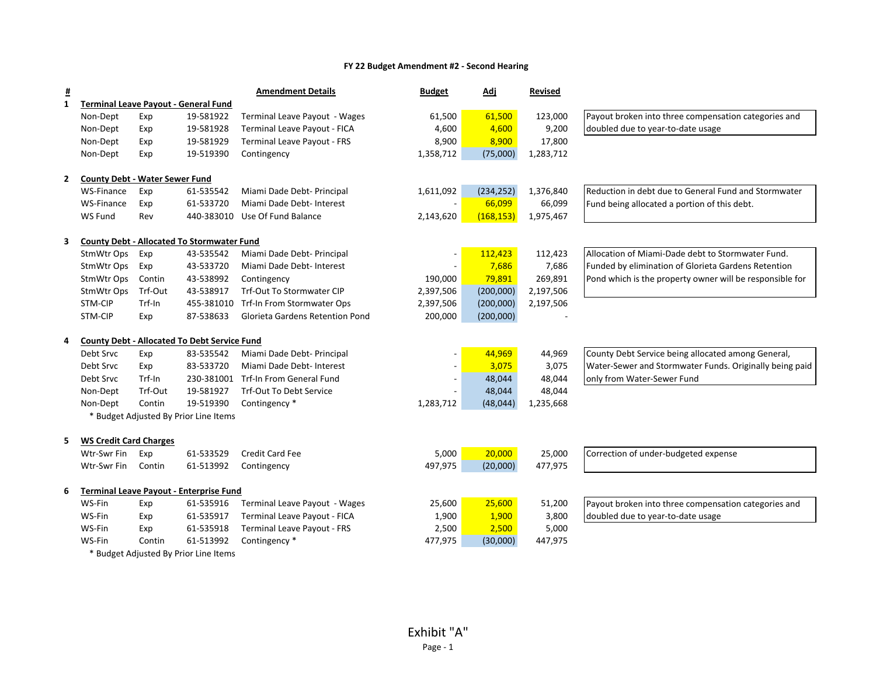| <u>#</u>     |                                       |         |                                                     | <b>Amendment Details</b>               | <b>Budget</b>            | <u>Adj</u> | <b>Revised</b> |                                                          |
|--------------|---------------------------------------|---------|-----------------------------------------------------|----------------------------------------|--------------------------|------------|----------------|----------------------------------------------------------|
| 1            |                                       |         | <b>Terminal Leave Payout - General Fund</b>         |                                        |                          |            |                |                                                          |
|              | Non-Dept                              | Exp     | 19-581922                                           | Terminal Leave Payout - Wages          | 61,500                   | 61,500     | 123,000        | Payout broken into three compensation categories and     |
|              | Non-Dept                              | Exp     | 19-581928                                           | Terminal Leave Payout - FICA           | 4,600                    | 4,600      | 9,200          | doubled due to year-to-date usage                        |
|              | Non-Dept                              | Exp     | 19-581929                                           | <b>Terminal Leave Payout - FRS</b>     | 8,900                    | 8,900      | 17,800         |                                                          |
|              | Non-Dept                              | Exp     | 19-519390                                           | Contingency                            | 1,358,712                | (75,000)   | 1,283,712      |                                                          |
| $\mathbf{2}$ | <b>County Debt - Water Sewer Fund</b> |         |                                                     |                                        |                          |            |                |                                                          |
|              | WS-Finance                            | Exp     | 61-535542                                           | Miami Dade Debt- Principal             | 1,611,092                | (234, 252) | 1,376,840      | Reduction in debt due to General Fund and Stormwater     |
|              | WS-Finance                            | Exp     | 61-533720                                           | Miami Dade Debt- Interest              | $\overline{\phantom{a}}$ | 66,099     | 66,099         | Fund being allocated a portion of this debt.             |
|              | WS Fund                               | Rev     | 440-383010                                          | Use Of Fund Balance                    | 2,143,620                | (168, 153) | 1,975,467      |                                                          |
| 3            |                                       |         | <b>County Debt - Allocated To Stormwater Fund</b>   |                                        |                          |            |                |                                                          |
|              | StmWtr Ops                            | Exp     | 43-535542                                           | Miami Dade Debt- Principal             |                          | 112,423    | 112,423        | Allocation of Miami-Dade debt to Stormwater Fund.        |
|              | StmWtr Ops                            | Exp     | 43-533720                                           | Miami Dade Debt- Interest              |                          | 7,686      | 7,686          | Funded by elimination of Glorieta Gardens Retention      |
|              | StmWtr Ops                            | Contin  | 43-538992                                           | Contingency                            | 190,000                  | 79,891     | 269,891        | Pond which is the property owner will be responsible for |
|              | StmWtr Ops                            | Trf-Out | 43-538917                                           | Trf-Out To Stormwater CIP              | 2,397,506                | (200,000)  | 2,197,506      |                                                          |
|              | STM-CIP                               | Trf-In  | 455-381010                                          | Trf-In From Stormwater Ops             | 2,397,506                | (200,000)  | 2,197,506      |                                                          |
|              | STM-CIP                               | Exp     | 87-538633                                           | <b>Glorieta Gardens Retention Pond</b> | 200,000                  | (200,000)  |                |                                                          |
| 4            |                                       |         | <b>County Debt - Allocated To Debt Service Fund</b> |                                        |                          |            |                |                                                          |
|              | Debt Srvc                             | Exp     | 83-535542                                           | Miami Dade Debt- Principal             |                          | 44,969     | 44,969         | County Debt Service being allocated among General,       |
|              | Debt Srvc                             | Exp     | 83-533720                                           | Miami Dade Debt- Interest              |                          | 3,075      | 3,075          | Water-Sewer and Stormwater Funds. Originally being paid  |
|              | Debt Srvc                             | Trf-In  | 230-381001                                          | Trf-In From General Fund               |                          | 48,044     | 48,044         | only from Water-Sewer Fund                               |
|              | Non-Dept                              | Trf-Out | 19-581927                                           | Trf-Out To Debt Service                |                          | 48,044     | 48,044         |                                                          |
|              | Non-Dept                              | Contin  | 19-519390                                           | Contingency *                          | 1,283,712                | (48, 044)  | 1,235,668      |                                                          |
|              |                                       |         | * Budget Adjusted By Prior Line Items               |                                        |                          |            |                |                                                          |
| 5            | <b>WS Credit Card Charges</b>         |         |                                                     |                                        |                          |            |                |                                                          |
|              | Wtr-Swr Fin                           | Exp     | 61-533529                                           | <b>Credit Card Fee</b>                 | 5,000                    | 20,000     | 25,000         | Correction of under-budgeted expense                     |
|              | Wtr-Swr Fin                           | Contin  | 61-513992                                           | Contingency                            | 497,975                  | (20,000)   | 477,975        |                                                          |
| 6            |                                       |         | <b>Terminal Leave Payout - Enterprise Fund</b>      |                                        |                          |            |                |                                                          |
|              | WS-Fin                                | Exp     | 61-535916                                           | Terminal Leave Payout - Wages          | 25,600                   | 25,600     | 51,200         | Payout broken into three compensation categories and     |
|              | WS-Fin                                | Exp     | 61-535917                                           | Terminal Leave Payout - FICA           | 1,900                    | 1,900      | 3,800          | doubled due to year-to-date usage                        |
|              | WS-Fin                                | Exp     | 61-535918                                           | <b>Terminal Leave Payout - FRS</b>     | 2,500                    | 2,500      | 5,000          |                                                          |
|              | WS-Fin                                | Contin  | 61-513992                                           | Contingency *                          | 477,975                  | (30,000)   | 447,975        |                                                          |
|              |                                       |         | * Budget Adjusted By Prior Line Items               |                                        |                          |            |                |                                                          |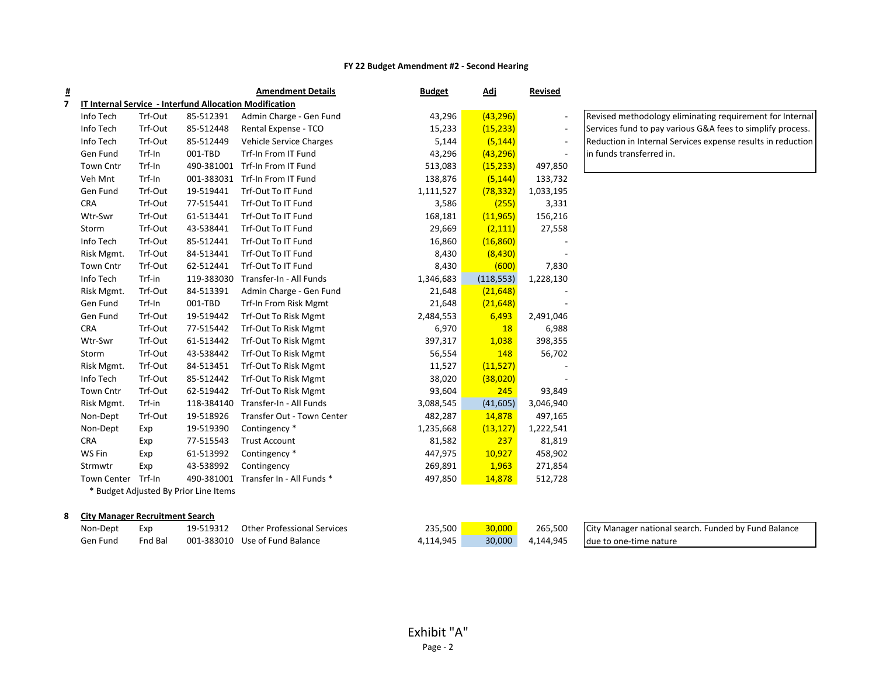| <u>#</u> |                                        |         |                                                                | <b>Amendment Details</b>       | <b>Budget</b> | <u>Adj</u> | Revised                  |                  |
|----------|----------------------------------------|---------|----------------------------------------------------------------|--------------------------------|---------------|------------|--------------------------|------------------|
| 7        |                                        |         | <b>IT Internal Service - Interfund Allocation Modification</b> |                                |               |            |                          |                  |
|          | Info Tech                              | Trf-Out | 85-512391                                                      | Admin Charge - Gen Fund        | 43,296        | (43, 296)  | $\overline{\phantom{a}}$ | Revised <b>I</b> |
|          | Info Tech                              | Trf-Out | 85-512448                                                      | Rental Expense - TCO           | 15,233        | (15, 233)  | $\overline{\phantom{a}}$ | Services         |
|          | Info Tech                              | Trf-Out | 85-512449                                                      | <b>Vehicle Service Charges</b> | 5,144         | (5, 144)   | $\overline{\phantom{a}}$ | Reductio         |
|          | Gen Fund                               | Trf-In  | 001-TBD                                                        | Trf-In From IT Fund            | 43,296        | (43, 296)  | $\frac{1}{2}$            | in funds         |
|          | <b>Town Cntr</b>                       | Trf-In  | 490-381001                                                     | Trf-In From IT Fund            | 513,083       | (15, 233)  | 497,850                  |                  |
|          | Veh Mnt                                | Trf-In  | 001-383031                                                     | Trf-In From IT Fund            | 138,876       | (5, 144)   | 133,732                  |                  |
|          | Gen Fund                               | Trf-Out | 19-519441                                                      | Trf-Out To IT Fund             | 1,111,527     | (78, 332)  | 1,033,195                |                  |
|          | <b>CRA</b>                             | Trf-Out | 77-515441                                                      | Trf-Out To IT Fund             | 3,586         | (255)      | 3,331                    |                  |
|          | Wtr-Swr                                | Trf-Out | 61-513441                                                      | Trf-Out To IT Fund             | 168,181       | (11, 965)  | 156,216                  |                  |
|          | Storm                                  | Trf-Out | 43-538441                                                      | Trf-Out To IT Fund             | 29,669        | (2, 111)   | 27,558                   |                  |
|          | Info Tech                              | Trf-Out | 85-512441                                                      | Trf-Out To IT Fund             | 16,860        | (16, 860)  |                          |                  |
|          | Risk Mgmt.                             | Trf-Out | 84-513441                                                      | Trf-Out To IT Fund             | 8,430         | (8, 430)   |                          |                  |
|          | Town Cntr                              | Trf-Out | 62-512441                                                      | Trf-Out To IT Fund             | 8,430         | (600)      | 7,830                    |                  |
|          | Info Tech                              | Trf-in  | 119-383030                                                     | Transfer-In - All Funds        | 1,346,683     | (118, 553) | 1,228,130                |                  |
|          | Risk Mgmt.                             | Trf-Out | 84-513391                                                      | Admin Charge - Gen Fund        | 21,648        | (21, 648)  |                          |                  |
|          | Gen Fund                               | Trf-In  | 001-TBD                                                        | Trf-In From Risk Mgmt          | 21,648        | (21, 648)  |                          |                  |
|          | Gen Fund                               | Trf-Out | 19-519442                                                      | Trf-Out To Risk Mgmt           | 2,484,553     | 6,493      | 2,491,046                |                  |
|          | <b>CRA</b>                             | Trf-Out | 77-515442                                                      | Trf-Out To Risk Mgmt           | 6,970         | 18         | 6,988                    |                  |
|          | Wtr-Swr                                | Trf-Out | 61-513442                                                      | Trf-Out To Risk Mgmt           | 397,317       | 1,038      | 398,355                  |                  |
|          | Storm                                  | Trf-Out | 43-538442                                                      | Trf-Out To Risk Mgmt           | 56,554        | 148        | 56,702                   |                  |
|          | Risk Mgmt.                             | Trf-Out | 84-513451                                                      | Trf-Out To Risk Mgmt           | 11,527        | (11, 527)  |                          |                  |
|          | Info Tech                              | Trf-Out | 85-512442                                                      | Trf-Out To Risk Mgmt           | 38,020        | (38,020)   |                          |                  |
|          | Town Cntr                              | Trf-Out | 62-519442                                                      | <b>Trf-Out To Risk Mgmt</b>    | 93,604        | 245        | 93,849                   |                  |
|          | Risk Mgmt.                             | Trf-in  | 118-384140                                                     | Transfer-In - All Funds        | 3,088,545     | (41, 605)  | 3,046,940                |                  |
|          | Non-Dept                               | Trf-Out | 19-518926                                                      | Transfer Out - Town Center     | 482,287       | 14,878     | 497,165                  |                  |
|          | Non-Dept                               | Exp     | 19-519390                                                      | Contingency *                  | 1,235,668     | (13, 127)  | 1,222,541                |                  |
|          | <b>CRA</b>                             | Exp     | 77-515543                                                      | <b>Trust Account</b>           | 81,582        | 237        | 81,819                   |                  |
|          | WS Fin                                 | Exp     | 61-513992                                                      | Contingency *                  | 447,975       | 10,927     | 458,902                  |                  |
|          | Strmwtr                                | Exp     | 43-538992                                                      | Contingency                    | 269,891       | 1,963      | 271,854                  |                  |
|          | Town Center Trf-In                     |         | 490-381001                                                     | Transfer In - All Funds *      | 497,850       | 14,878     | 512,728                  |                  |
|          |                                        |         | * Budget Adjusted By Prior Line Items                          |                                |               |            |                          |                  |
|          |                                        |         |                                                                |                                |               |            |                          |                  |
| 8        | <b>City Manager Recruitment Search</b> |         |                                                                |                                |               |            |                          |                  |

methodology eliminating requirement for Internal  $s$  fund to pay various G&A fees to simplify process. on in Internal Services expense results in reduction transferred in.

|  | City Ividilager Recruitment Jearch |  |          |  |  |
|--|------------------------------------|--|----------|--|--|
|  |                                    |  |          |  |  |
|  |                                    |  | $\cdots$ |  |  |

| Non-Dept | Exp     | 19-519312 | <b>Other Professional Services</b> | 235,500   | 30,000 | 265,500   | City Manager national search. Funded by Fund Balance |
|----------|---------|-----------|------------------------------------|-----------|--------|-----------|------------------------------------------------------|
| Gen Fund | Fnd Bal |           | 001-383010 Use of Fund Balance     | 4,114,945 | 30,000 | 4,144,945 | due to one-time nature                               |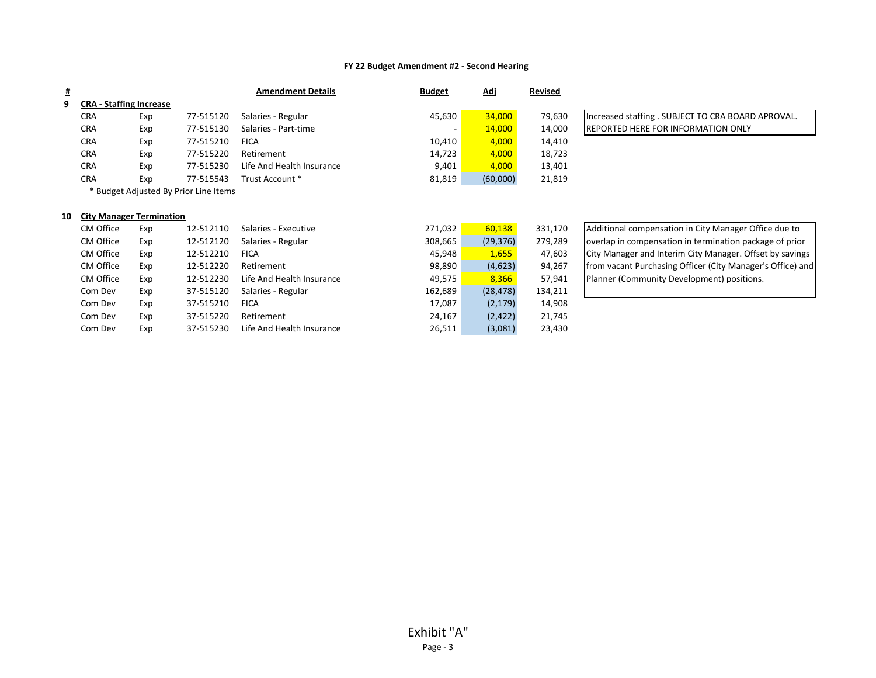| <u>#</u> |                                 |     |                                       | <b>Amendment Details</b>  | <b>Budget</b> | <u>Adj</u> | <b>Revised</b> |                                                            |
|----------|---------------------------------|-----|---------------------------------------|---------------------------|---------------|------------|----------------|------------------------------------------------------------|
| 9        | <b>CRA - Staffing Increase</b>  |     |                                       |                           |               |            |                |                                                            |
|          | <b>CRA</b>                      | Exp | 77-515120                             | Salaries - Regular        | 45,630        | 34,000     | 79,630         | Increased staffing . SUBJECT TO CRA BOARD APROVAL.         |
|          | <b>CRA</b>                      | Exp | 77-515130                             | Salaries - Part-time      |               | 14,000     | 14,000         | <b>REPORTED HERE FOR INFORMATION ONLY</b>                  |
|          | <b>CRA</b>                      | Exp | 77-515210                             | <b>FICA</b>               | 10,410        | 4,000      | 14,410         |                                                            |
|          | <b>CRA</b>                      | Exp | 77-515220                             | Retirement                | 14,723        | 4,000      | 18,723         |                                                            |
|          | <b>CRA</b>                      | Exp | 77-515230                             | Life And Health Insurance | 9,401         | 4,000      | 13,401         |                                                            |
|          | <b>CRA</b>                      | Exp | 77-515543                             | Trust Account *           | 81,819        | (60,000)   | 21,819         |                                                            |
|          |                                 |     | * Budget Adjusted By Prior Line Items |                           |               |            |                |                                                            |
|          |                                 |     |                                       |                           |               |            |                |                                                            |
| 10       | <b>City Manager Termination</b> |     |                                       |                           |               |            |                |                                                            |
|          | CM Office                       | Exp | 12-512110                             | Salaries - Executive      | 271,032       | 60,138     | 331,170        | Additional compensation in City Manager Office due to      |
|          | CM Office                       | Exp | 12-512120                             | Salaries - Regular        | 308,665       | (29, 376)  | 279,289        | overlap in compensation in termination package of prior    |
|          | CM Office                       | Exp | 12-512210                             | <b>FICA</b>               | 45,948        | 1,655      | 47,603         | City Manager and Interim City Manager. Offset by savings   |
|          | CM Office                       | Exp | 12-512220                             | Retirement                | 98,890        | (4,623)    | 94,267         | from vacant Purchasing Officer (City Manager's Office) and |
|          | CM Office                       | Exp | 12-512230                             | Life And Health Insurance | 49,575        | 8,366      | 57,941         | Planner (Community Development) positions.                 |
|          | Com Dev                         | Exp | 37-515120                             | Salaries - Regular        | 162,689       | (28, 478)  | 134,211        |                                                            |
|          | Com Dev                         | Exp | 37-515210                             | <b>FICA</b>               | 17,087        | (2, 179)   | 14,908         |                                                            |
|          | Com Dev                         | Exp | 37-515220                             | Retirement                | 24,167        | (2, 422)   | 21,745         |                                                            |
|          | Com Dev                         | Exp | 37-515230                             | Life And Health Insurance | 26,511        | (3,081)    | 23,430         |                                                            |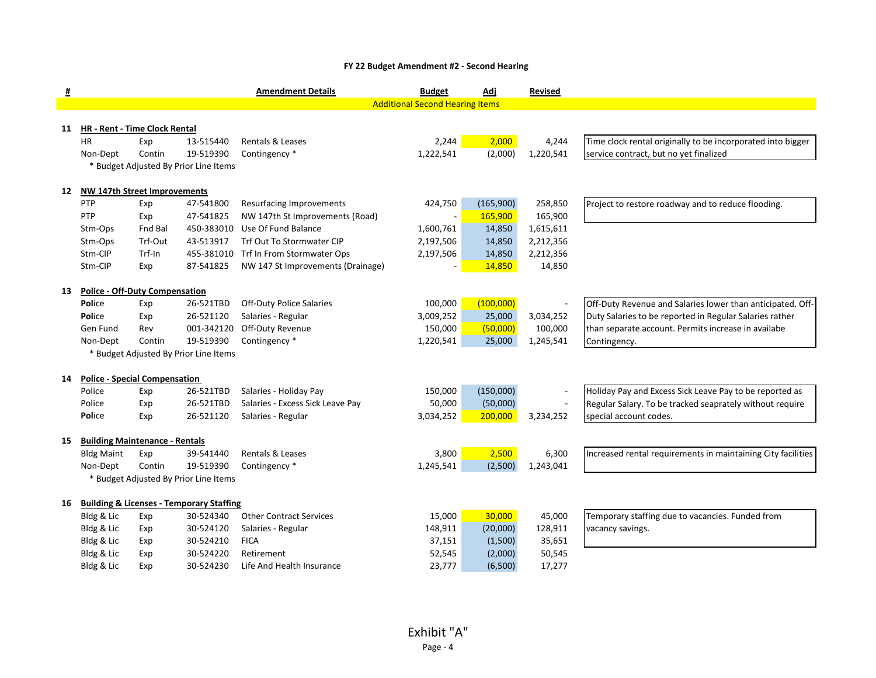| <u>#</u> |                                       |            |                                                                  | <b>Amendment Details</b>          | <b>Budget</b>                          | <u>Adj</u> | <b>Revised</b> |                                                              |
|----------|---------------------------------------|------------|------------------------------------------------------------------|-----------------------------------|----------------------------------------|------------|----------------|--------------------------------------------------------------|
|          |                                       |            |                                                                  |                                   | <b>Additional Second Hearing Items</b> |            |                |                                                              |
|          |                                       |            |                                                                  |                                   |                                        |            |                |                                                              |
| 11       | HR - Rent - Time Clock Rental         |            |                                                                  |                                   |                                        |            |                |                                                              |
|          | HR                                    | Exp        | 13-515440                                                        | Rentals & Leases                  | 2,244                                  | 2,000      | 4,244          | Time clock rental originally to be incorporated into bigger  |
|          | Non-Dept                              | Contin     | 19-519390                                                        | Contingency *                     | 1,222,541                              | (2,000)    | 1,220,541      | service contract, but no yet finalized                       |
|          |                                       |            | * Budget Adjusted By Prior Line Items                            |                                   |                                        |            |                |                                                              |
| 12       | NW 147th Street Improvements          |            |                                                                  |                                   |                                        |            |                |                                                              |
|          | PTP                                   | Exp        | 47-541800                                                        | <b>Resurfacing Improvements</b>   | 424,750                                | (165,900)  | 258,850        | Project to restore roadway and to reduce flooding.           |
|          | PTP                                   | Exp        | 47-541825                                                        | NW 147th St Improvements (Road)   |                                        | 165,900    | 165,900        |                                                              |
|          | Stm-Ops                               | Fnd Bal    | 450-383010                                                       | Use Of Fund Balance               | 1,600,761                              | 14,850     | 1,615,611      |                                                              |
|          | Stm-Ops                               | Trf-Out    | 43-513917                                                        | Trf Out To Stormwater CIP         | 2,197,506                              | 14,850     | 2,212,356      |                                                              |
|          | Stm-CIP                               | Trf-In     | 455-381010                                                       | Trf In From Stormwater Ops        | 2,197,506                              | 14,850     | 2,212,356      |                                                              |
|          | Stm-CIP                               | Exp        | 87-541825                                                        | NW 147 St Improvements (Drainage) |                                        | 14,850     | 14,850         |                                                              |
|          |                                       |            |                                                                  |                                   |                                        |            |                |                                                              |
| 13       | <b>Police - Off-Duty Compensation</b> |            |                                                                  |                                   |                                        |            |                |                                                              |
|          | Police                                | Exp        | 26-521TBD                                                        | <b>Off-Duty Police Salaries</b>   | 100,000                                | (100,000)  |                | Off-Duty Revenue and Salaries lower than anticipated. Off-   |
|          | Police                                | Exp        | 26-521120                                                        | Salaries - Regular                | 3,009,252                              | 25,000     | 3,034,252      | Duty Salaries to be reported in Regular Salaries rather      |
|          | Gen Fund                              | Rev        | 001-342120                                                       | Off-Duty Revenue                  | 150,000                                | (50,000)   | 100,000        | than separate account. Permits increase in availabe          |
|          | Non-Dept                              | Contin     | 19-519390                                                        | Contingency *                     | 1,220,541                              | 25,000     | 1,245,541      | Contingency.                                                 |
|          |                                       |            | * Budget Adjusted By Prior Line Items                            |                                   |                                        |            |                |                                                              |
| 14       | <b>Police - Special Compensation</b>  |            |                                                                  |                                   |                                        |            |                |                                                              |
|          | Police                                |            | 26-521TBD                                                        | Salaries - Holiday Pay            | 150,000                                | (150,000)  |                | Holiday Pay and Excess Sick Leave Pay to be reported as      |
|          | Police                                | Exp        | 26-521TBD                                                        | Salaries - Excess Sick Leave Pay  | 50,000                                 | (50,000)   |                | Regular Salary. To be tracked seaprately without require     |
|          | Police                                | Exp<br>Exp | 26-521120                                                        | Salaries - Regular                | 3,034,252                              | 200,000    | 3,234,252      |                                                              |
|          |                                       |            |                                                                  |                                   |                                        |            |                | special account codes.                                       |
| 15       | <b>Building Maintenance - Rentals</b> |            |                                                                  |                                   |                                        |            |                |                                                              |
|          | <b>Bldg Maint</b>                     | Exp        | 39-541440                                                        | Rentals & Leases                  | 3,800                                  | 2,500      | 6,300          | Increased rental requirements in maintaining City facilities |
|          | Non-Dept                              | Contin     | 19-519390                                                        | Contingency *                     | 1,245,541                              | (2,500)    | 1,243,041      |                                                              |
|          |                                       |            | Budget Adjusted By Prior Line Items                              |                                   |                                        |            |                |                                                              |
|          |                                       |            |                                                                  |                                   |                                        |            |                |                                                              |
| 16       | Bldg & Lic                            | Exp        | <b>Building &amp; Licenses - Temporary Staffing</b><br>30-524340 | <b>Other Contract Services</b>    | 15,000                                 | 30,000     | 45,000         | Temporary staffing due to vacancies. Funded from             |
|          | Bldg & Lic                            | Exp        | 30-524120                                                        | Salaries - Regular                | 148,911                                | (20,000)   | 128,911        | vacancy savings.                                             |
|          | Bldg & Lic                            | Exp        | 30-524210                                                        | <b>FICA</b>                       | 37,151                                 | (1,500)    | 35,651         |                                                              |
|          | Bldg & Lic                            | Exp        | 30-524220                                                        | Retirement                        | 52,545                                 | (2,000)    | 50,545         |                                                              |
|          | Bldg & Lic                            | Exp        | 30-524230                                                        | Life And Health Insurance         | 23,777                                 | (6,500)    | 17,277         |                                                              |
|          |                                       |            |                                                                  |                                   |                                        |            |                |                                                              |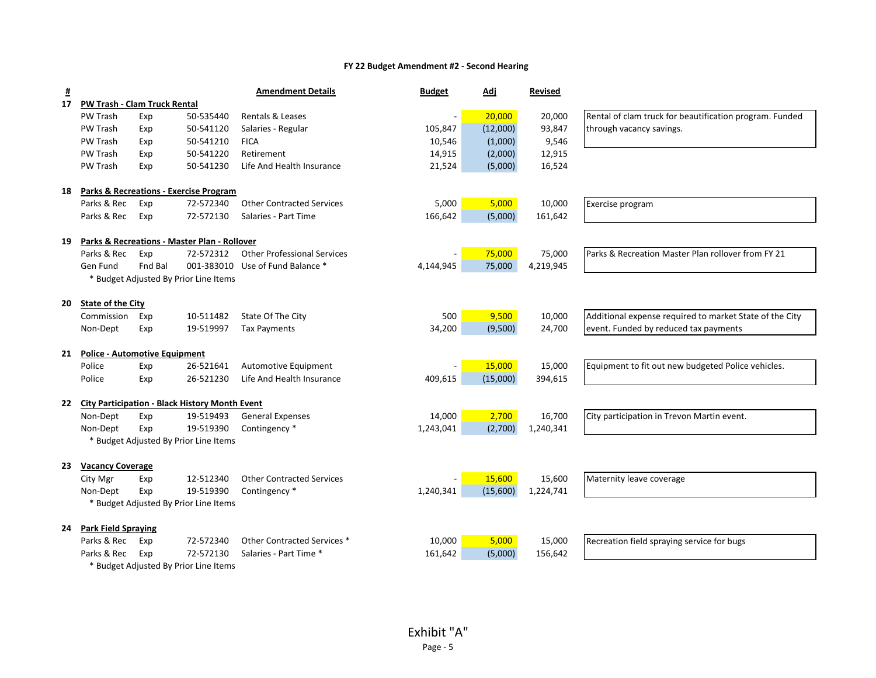| $\overline{\mathbf{H}}$ |                                      |         |                                                         | <b>Amendment Details</b>            | <b>Budget</b> | <u>Adj</u> | <b>Revised</b> |                                                         |
|-------------------------|--------------------------------------|---------|---------------------------------------------------------|-------------------------------------|---------------|------------|----------------|---------------------------------------------------------|
| 17                      | PW Trash - Clam Truck Rental         |         |                                                         |                                     |               |            |                |                                                         |
|                         | PW Trash                             | Exp     | 50-535440                                               | Rentals & Leases                    |               | 20,000     | 20,000         | Rental of clam truck for beautification program. Funded |
|                         | PW Trash                             | Exp     | 50-541120                                               | Salaries - Regular                  | 105,847       | (12,000)   | 93,847         | through vacancy savings.                                |
|                         | PW Trash                             | Exp     | 50-541210                                               | <b>FICA</b>                         | 10,546        | (1,000)    | 9,546          |                                                         |
|                         | PW Trash                             | Exp     | 50-541220                                               | Retirement                          | 14,915        | (2,000)    | 12,915         |                                                         |
|                         | PW Trash                             | Exp     | 50-541230                                               | Life And Health Insurance           | 21,524        | (5,000)    | 16,524         |                                                         |
| 18                      |                                      |         | <b>Parks &amp; Recreations - Exercise Program</b>       |                                     |               |            |                |                                                         |
|                         | Parks & Rec                          | Exp     | 72-572340                                               | <b>Other Contracted Services</b>    | 5,000         | 5,000      | 10,000         | Exercise program                                        |
|                         | Parks & Rec                          | Exp     | 72-572130                                               | Salaries - Part Time                | 166,642       | (5,000)    | 161,642        |                                                         |
| 19                      |                                      |         | <b>Parks &amp; Recreations - Master Plan - Rollover</b> |                                     |               |            |                |                                                         |
|                         | Parks & Rec                          | Exp     | 72-572312                                               | <b>Other Professional Services</b>  |               | 75,000     | 75,000         | Parks & Recreation Master Plan rollover from FY 21      |
|                         | Gen Fund                             | Fnd Bal |                                                         | 001-383010 Use of Fund Balance *    | 4,144,945     | 75,000     | 4,219,945      |                                                         |
|                         |                                      |         | * Budget Adjusted By Prior Line Items                   |                                     |               |            |                |                                                         |
| 20                      | <b>State of the City</b>             |         |                                                         |                                     |               |            |                |                                                         |
|                         | Commission                           | Exp     | 10-511482                                               | State Of The City                   | 500           | 9,500      | 10,000         | Additional expense required to market State of the City |
|                         | Non-Dept                             | Exp     | 19-519997                                               | <b>Tax Payments</b>                 | 34,200        | (9,500)    | 24,700         | event. Funded by reduced tax payments                   |
| 21                      | <b>Police - Automotive Equipment</b> |         |                                                         |                                     |               |            |                |                                                         |
|                         | Police                               | Exp     | 26-521641                                               | Automotive Equipment                |               | 15,000     | 15,000         | Equipment to fit out new budgeted Police vehicles.      |
|                         | Police                               | Exp     | 26-521230                                               | Life And Health Insurance           | 409,615       | (15,000)   | 394,615        |                                                         |
| 22                      |                                      |         | <b>City Participation - Black History Month Event</b>   |                                     |               |            |                |                                                         |
|                         | Non-Dept                             | Exp     | 19-519493                                               | <b>General Expenses</b>             | 14,000        | 2,700      | 16,700         | City participation in Trevon Martin event.              |
|                         | Non-Dept                             | Exp     | 19-519390                                               | Contingency *                       | 1,243,041     | (2,700)    | 1,240,341      |                                                         |
|                         |                                      |         | * Budget Adjusted By Prior Line Items                   |                                     |               |            |                |                                                         |
| 23                      | <b>Vacancy Coverage</b>              |         |                                                         |                                     |               |            |                |                                                         |
|                         | City Mgr                             | Exp     |                                                         | 12-512340 Other Contracted Services |               | 15,600     | 15,600         | Maternity leave coverage                                |
|                         | Non-Dept                             | Exp     | 19-519390                                               | Contingency *                       | 1,240,341     | (15,600)   | 1,224,741      |                                                         |
|                         |                                      |         | * Budget Adjusted By Prior Line Items                   |                                     |               |            |                |                                                         |
|                         | 24 Park Field Spraying               |         |                                                         |                                     |               |            |                |                                                         |
|                         | Parks & Rec                          | Exp     | 72-572340                                               | Other Contracted Services *         | 10,000        | 5,000      | 15,000         | Recreation field spraying service for bugs              |
|                         | Parks & Rec                          | Exp     | 72-572130                                               | Salaries - Part Time *              | 161,642       | (5,000)    | 156,642        |                                                         |
|                         |                                      |         | * Budget Adjusted By Prior Line Items                   |                                     |               |            |                |                                                         |